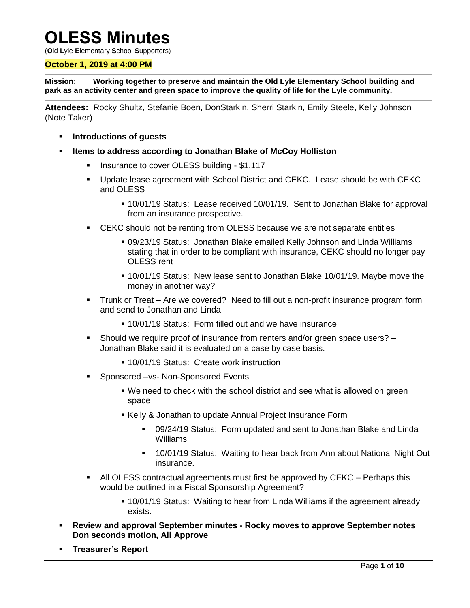# **OLESS Minutes**

(**O**ld **L**yle **E**lementary **S**chool **S**upporters)

#### **October 1, 2019 at 4:00 PM**

**Mission: Working together to preserve and maintain the Old Lyle Elementary School building and park as an activity center and green space to improve the quality of life for the Lyle community.**

**Attendees:** Rocky Shultz, Stefanie Boen, DonStarkin, Sherri Starkin, Emily Steele, Kelly Johnson (Note Taker)

- **Introductions of guests**
- **Items to address according to Jonathan Blake of McCoy Holliston**
	- Insurance to cover OLESS building \$1,117
	- Update lease agreement with School District and CEKC. Lease should be with CEKC and OLESS
		- 10/01/19 Status: Lease received 10/01/19. Sent to Jonathan Blake for approval from an insurance prospective.
	- **EXAC Should not be renting from OLESS because we are not separate entities** 
		- 09/23/19 Status: Jonathan Blake emailed Kelly Johnson and Linda Williams stating that in order to be compliant with insurance, CEKC should no longer pay OLESS rent
		- 10/01/19 Status: New lease sent to Jonathan Blake 10/01/19. Maybe move the money in another way?
	- **Trunk or Treat** Are we covered? Need to fill out a non-profit insurance program form and send to Jonathan and Linda
		- 10/01/19 Status: Form filled out and we have insurance
	- Should we require proof of insurance from renters and/or green space users? Jonathan Blake said it is evaluated on a case by case basis.
		- **10/01/19 Status: Create work instruction**
	- Sponsored –vs- Non-Sponsored Events
		- We need to check with the school district and see what is allowed on green space
		- **Kelly & Jonathan to update Annual Project Insurance Form** 
			- 09/24/19 Status: Form updated and sent to Jonathan Blake and Linda Williams
			- 10/01/19 Status: Waiting to hear back from Ann about National Night Out insurance.
	- All OLESS contractual agreements must first be approved by CEKC Perhaps this would be outlined in a Fiscal Sponsorship Agreement?
		- **.** 10/01/19 Status: Waiting to hear from Linda Williams if the agreement already exists.
- **Review and approval September minutes - Rocky moves to approve September notes Don seconds motion, All Approve**
- **Treasurer's Report**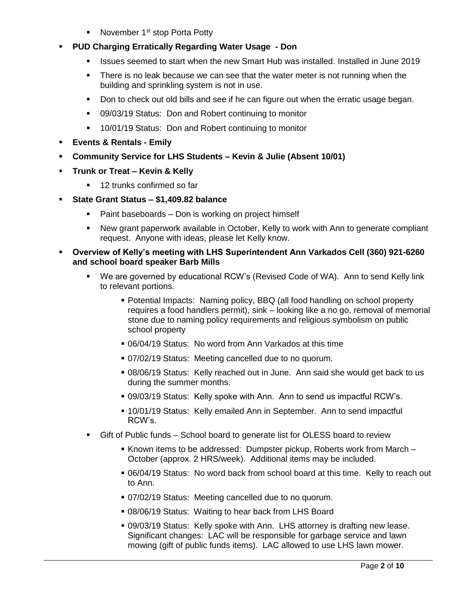- November  $1<sup>st</sup>$  stop Porta Potty
- **PUD Charging Erratically Regarding Water Usage - Don**
	- Issues seemed to start when the new Smart Hub was installed. Installed in June 2019
	- There is no leak because we can see that the water meter is not running when the building and sprinkling system is not in use.
	- Don to check out old bills and see if he can figure out when the erratic usage began.
	- 09/03/19 Status: Don and Robert continuing to monitor
	- **10/01/19 Status: Don and Robert continuing to monitor**
- **Events & Rentals - Emily**
- **Community Service for LHS Students – Kevin & Julie (Absent 10/01)**
- **Trunk or Treat – Kevin & Kelly**
	- 12 trunks confirmed so far
- **State Grant Status – \$1,409.82 balance**
	- Paint baseboards Don is working on project himself
	- New grant paperwork available in October, Kelly to work with Ann to generate compliant request. Anyone with ideas, please let Kelly know.
- **Overview of Kelly's meeting with LHS Superintendent Ann Varkados Cell (360) 921-6260 and school board speaker Barb Mills**
	- We are governed by educational RCW's (Revised Code of WA). Ann to send Kelly link to relevant portions.
		- Potential Impacts: Naming policy, BBQ (all food handling on school property requires a food handlers permit), sink – looking like a no go, removal of memorial stone due to naming policy requirements and religious symbolism on public school property
		- 06/04/19 Status: No word from Ann Varkados at this time
		- 07/02/19 Status: Meeting cancelled due to no quorum.
		- 08/06/19 Status: Kelly reached out in June. Ann said she would get back to us during the summer months.
		- 09/03/19 Status: Kelly spoke with Ann. Ann to send us impactful RCW's.
		- 10/01/19 Status: Kelly emailed Ann in September. Ann to send impactful RCW's.
	- Gift of Public funds School board to generate list for OLESS board to review
		- Known items to be addressed: Dumpster pickup, Roberts work from March -October (approx. 2 HRS/week). Additional items may be included.
		- 06/04/19 Status: No word back from school board at this time. Kelly to reach out to Ann.
		- 07/02/19 Status: Meeting cancelled due to no quorum.
		- 08/06/19 Status: Waiting to hear back from LHS Board
		- 09/03/19 Status: Kelly spoke with Ann. LHS attorney is drafting new lease. Significant changes: LAC will be responsible for garbage service and lawn mowing (gift of public funds items). LAC allowed to use LHS lawn mower.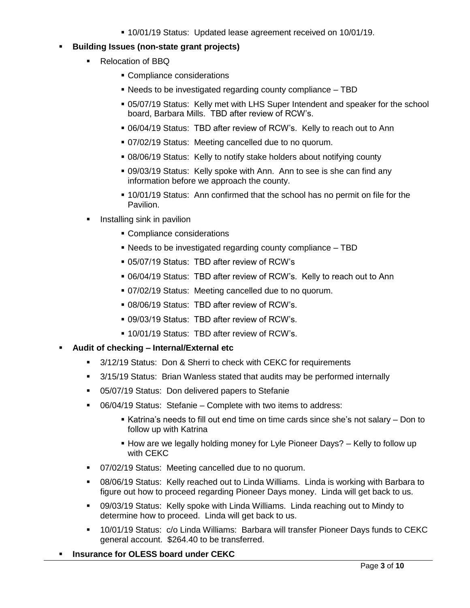10/01/19 Status: Updated lease agreement received on 10/01/19.

# **Building Issues (non-state grant projects)**

- Relocation of BBQ
	- Compliance considerations
	- Needs to be investigated regarding county compliance TBD
	- 05/07/19 Status: Kelly met with LHS Super Intendent and speaker for the school board, Barbara Mills. TBD after review of RCW's.
	- 06/04/19 Status: TBD after review of RCW's. Kelly to reach out to Ann
	- 07/02/19 Status: Meeting cancelled due to no quorum.
	- 08/06/19 Status: Kelly to notify stake holders about notifying county
	- 09/03/19 Status: Kelly spoke with Ann. Ann to see is she can find any information before we approach the county.
	- 10/01/19 Status: Ann confirmed that the school has no permit on file for the Pavilion.
- Installing sink in pavilion
	- **Compliance considerations**
	- Needs to be investigated regarding county compliance TBD
	- 05/07/19 Status: TBD after review of RCW's
	- 06/04/19 Status: TBD after review of RCW's. Kelly to reach out to Ann
	- 07/02/19 Status: Meeting cancelled due to no quorum.
	- 08/06/19 Status: TBD after review of RCW's.
	- 09/03/19 Status: TBD after review of RCW's.
	- 10/01/19 Status: TBD after review of RCW's.

# **Audit of checking – Internal/External etc**

- 3/12/19 Status: Don & Sherri to check with CEKC for requirements
- 3/15/19 Status: Brian Wanless stated that audits may be performed internally
- 05/07/19 Status: Don delivered papers to Stefanie
- 06/04/19 Status: Stefanie Complete with two items to address:
	- Katrina's needs to fill out end time on time cards since she's not salary Don to follow up with Katrina
	- **How are we legally holding money for Lyle Pioneer Days?** Kelly to follow up with CEKC
- 07/02/19 Status: Meeting cancelled due to no quorum.
- 08/06/19 Status: Kelly reached out to Linda Williams. Linda is working with Barbara to figure out how to proceed regarding Pioneer Days money. Linda will get back to us.
- 09/03/19 Status: Kelly spoke with Linda Williams. Linda reaching out to Mindy to determine how to proceed. Linda will get back to us.
- 10/01/19 Status: c/o Linda Williams: Barbara will transfer Pioneer Days funds to CEKC general account. \$264.40 to be transferred.
- **Insurance for OLESS board under CEKC**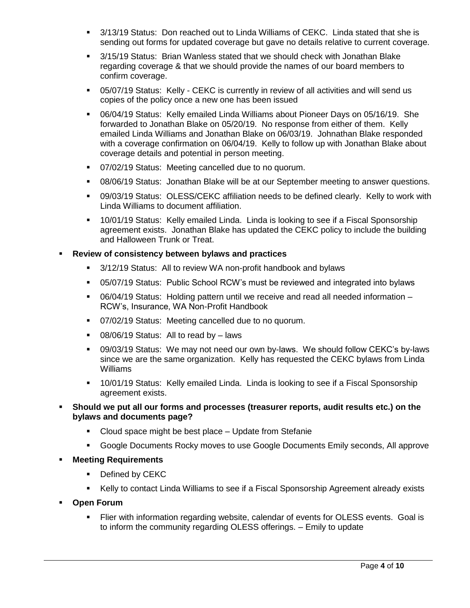- 3/13/19 Status: Don reached out to Linda Williams of CEKC. Linda stated that she is sending out forms for updated coverage but gave no details relative to current coverage.
- 3/15/19 Status: Brian Wanless stated that we should check with Jonathan Blake regarding coverage & that we should provide the names of our board members to confirm coverage.
- 05/07/19 Status: Kelly CEKC is currently in review of all activities and will send us copies of the policy once a new one has been issued
- 06/04/19 Status: Kelly emailed Linda Williams about Pioneer Days on 05/16/19. She forwarded to Jonathan Blake on 05/20/19. No response from either of them. Kelly emailed Linda Williams and Jonathan Blake on 06/03/19. Johnathan Blake responded with a coverage confirmation on 06/04/19. Kelly to follow up with Jonathan Blake about coverage details and potential in person meeting.
- 07/02/19 Status: Meeting cancelled due to no quorum.
- 08/06/19 Status: Jonathan Blake will be at our September meeting to answer questions.
- 09/03/19 Status: OLESS/CEKC affiliation needs to be defined clearly. Kelly to work with Linda Williams to document affiliation.
- 10/01/19 Status: Kelly emailed Linda. Linda is looking to see if a Fiscal Sponsorship agreement exists. Jonathan Blake has updated the CEKC policy to include the building and Halloween Trunk or Treat.

## **Review of consistency between bylaws and practices**

- 3/12/19 Status: All to review WA non-profit handbook and bylaws
- 05/07/19 Status: Public School RCW's must be reviewed and integrated into bylaws
- 06/04/19 Status: Holding pattern until we receive and read all needed information RCW's, Insurance, WA Non-Profit Handbook
- 07/02/19 Status: Meeting cancelled due to no quorum.
- 08/06/19 Status: All to read by laws
- 09/03/19 Status: We may not need our own by-laws. We should follow CEKC's by-laws since we are the same organization. Kelly has requested the CEKC bylaws from Linda Williams
- 10/01/19 Status: Kelly emailed Linda. Linda is looking to see if a Fiscal Sponsorship agreement exists.
- **Should we put all our forms and processes (treasurer reports, audit results etc.) on the bylaws and documents page?**
	- Cloud space might be best place Update from Stefanie
	- Google Documents Rocky moves to use Google Documents Emily seconds, All approve
- **Meeting Requirements**
	- Defined by CEKC
	- Kelly to contact Linda Williams to see if a Fiscal Sponsorship Agreement already exists
- **Open Forum** 
	- Flier with information regarding website, calendar of events for OLESS events. Goal is to inform the community regarding OLESS offerings. – Emily to update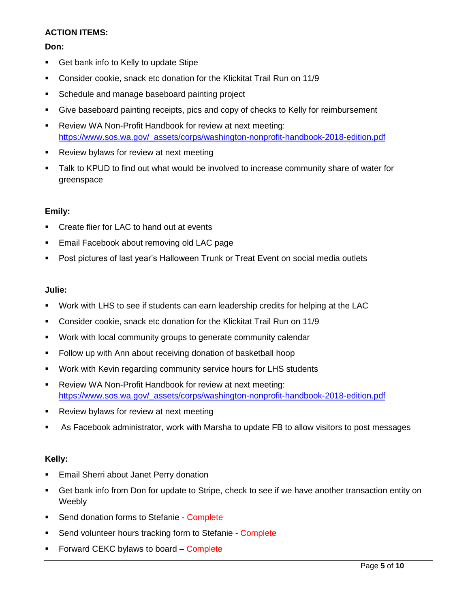# **ACTION ITEMS:**

## **Don:**

- **Get bank info to Kelly to update Stipe**
- Consider cookie, snack etc donation for the Klickitat Trail Run on 11/9
- **Schedule and manage baseboard painting project**
- Give baseboard painting receipts, pics and copy of checks to Kelly for reimbursement
- **Review WA Non-Profit Handbook for review at next meeting:** [https://www.sos.wa.gov/\\_assets/corps/washington-nonprofit-handbook-2018-edition.pdf](https://www.sos.wa.gov/_assets/corps/washington-nonprofit-handbook-2018-edition.pdf)
- **Review bylaws for review at next meeting**
- Talk to KPUD to find out what would be involved to increase community share of water for greenspace

## **Emily:**

- **EXECT** Create flier for LAC to hand out at events
- Email Facebook about removing old LAC page
- Post pictures of last year's Halloween Trunk or Treat Event on social media outlets

#### **Julie:**

- Work with LHS to see if students can earn leadership credits for helping at the LAC
- Consider cookie, snack etc donation for the Klickitat Trail Run on 11/9
- Work with local community groups to generate community calendar
- Follow up with Ann about receiving donation of basketball hoop
- Work with Kevin regarding community service hours for LHS students
- Review WA Non-Profit Handbook for review at next meeting: [https://www.sos.wa.gov/\\_assets/corps/washington-nonprofit-handbook-2018-edition.pdf](https://www.sos.wa.gov/_assets/corps/washington-nonprofit-handbook-2018-edition.pdf)
- **Review bylaws for review at next meeting**
- As Facebook administrator, work with Marsha to update FB to allow visitors to post messages

## **Kelly:**

- **Email Sherri about Janet Perry donation**
- Get bank info from Don for update to Stripe, check to see if we have another transaction entity on Weebly
- Send donation forms to Stefanie Complete
- **Send volunteer hours tracking form to Stefanie Complete**
- **Forward CEKC bylaws to board Complete**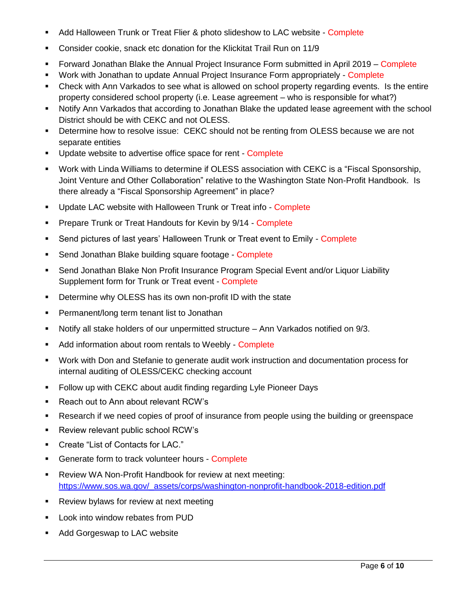- Add Halloween Trunk or Treat Flier & photo slideshow to LAC website Complete
- Consider cookie, snack etc donation for the Klickitat Trail Run on 11/9
- Forward Jonathan Blake the Annual Project Insurance Form submitted in April 2019 Complete
- **Work with Jonathan to update Annual Project Insurance Form appropriately Complete**
- Check with Ann Varkados to see what is allowed on school property regarding events. Is the entire property considered school property (i.e. Lease agreement – who is responsible for what?)
- Notify Ann Varkados that according to Jonathan Blake the updated lease agreement with the school District should be with CEKC and not OLESS.
- Determine how to resolve issue: CEKC should not be renting from OLESS because we are not separate entities
- **Update website to advertise office space for rent Complete**
- Work with Linda Williams to determine if OLESS association with CEKC is a "Fiscal Sponsorship, Joint Venture and Other Collaboration" relative to the Washington State Non-Profit Handbook. Is there already a "Fiscal Sponsorship Agreement" in place?
- **Update LAC website with Halloween Trunk or Treat info Complete**
- **Prepare Trunk or Treat Handouts for Kevin by 9/14 Complete**
- Send pictures of last years' Halloween Trunk or Treat event to Emily Complete
- Send Jonathan Blake building square footage Complete
- Send Jonathan Blake Non Profit Insurance Program Special Event and/or Liquor Liability Supplement form for Trunk or Treat event - Complete
- **•** Determine why OLESS has its own non-profit ID with the state
- **Permanent/long term tenant list to Jonathan**
- Notify all stake holders of our unpermitted structure Ann Varkados notified on 9/3.
- Add information about room rentals to Weebly Complete
- Work with Don and Stefanie to generate audit work instruction and documentation process for internal auditing of OLESS/CEKC checking account
- **Follow up with CEKC about audit finding regarding Lyle Pioneer Days**
- Reach out to Ann about relevant RCW's
- Research if we need copies of proof of insurance from people using the building or greenspace
- **Review relevant public school RCW's**
- Create "List of Contacts for LAC."
- **Generate form to track volunteer hours Complete**
- **-** Review WA Non-Profit Handbook for review at next meeting: [https://www.sos.wa.gov/\\_assets/corps/washington-nonprofit-handbook-2018-edition.pdf](https://www.sos.wa.gov/_assets/corps/washington-nonprofit-handbook-2018-edition.pdf)
- **Review bylaws for review at next meeting**
- **Look into window rebates from PUD**
- **Add Gorgeswap to LAC website**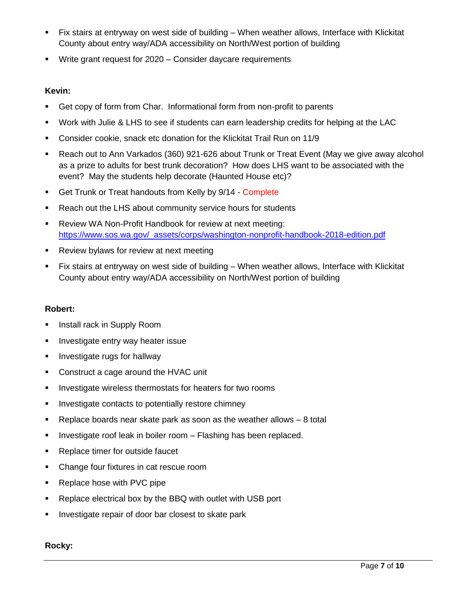- Fix stairs at entryway on west side of building When weather allows, Interface with Klickitat County about entry way/ADA accessibility on North/West portion of building
- **Write grant request for 2020 Consider daycare requirements**

# **Kevin:**

- Get copy of form from Char. Informational form from non-profit to parents
- Work with Julie & LHS to see if students can earn leadership credits for helping at the LAC
- Consider cookie, snack etc donation for the Klickitat Trail Run on 11/9
- Reach out to Ann Varkados (360) 921-626 about Trunk or Treat Event (May we give away alcohol as a prize to adults for best trunk decoration? How does LHS want to be associated with the event? May the students help decorate (Haunted House etc)?
- Get Trunk or Treat handouts from Kelly by 9/14 Complete
- **Reach out the LHS about community service hours for students**
- Review WA Non-Profit Handbook for review at next meeting: [https://www.sos.wa.gov/\\_assets/corps/washington-nonprofit-handbook-2018-edition.pdf](https://www.sos.wa.gov/_assets/corps/washington-nonprofit-handbook-2018-edition.pdf)
- **Review bylaws for review at next meeting**
- Fix stairs at entryway on west side of building When weather allows, Interface with Klickitat County about entry way/ADA accessibility on North/West portion of building

# **Robert:**

- **Install rack in Supply Room**
- **Investigate entry way heater issue**
- **Investigate rugs for hallway**
- **Construct a cage around the HVAC unit**
- **Investigate wireless thermostats for heaters for two rooms**
- **Investigate contacts to potentially restore chimney**
- Replace boards near skate park as soon as the weather allows 8 total
- **Investigate roof leak in boiler room Flashing has been replaced.**
- Replace timer for outside faucet
- Change four fixtures in cat rescue room
- Replace hose with PVC pipe
- **Replace electrical box by the BBQ with outlet with USB port**
- **Investigate repair of door bar closest to skate park**

## **Rocky:**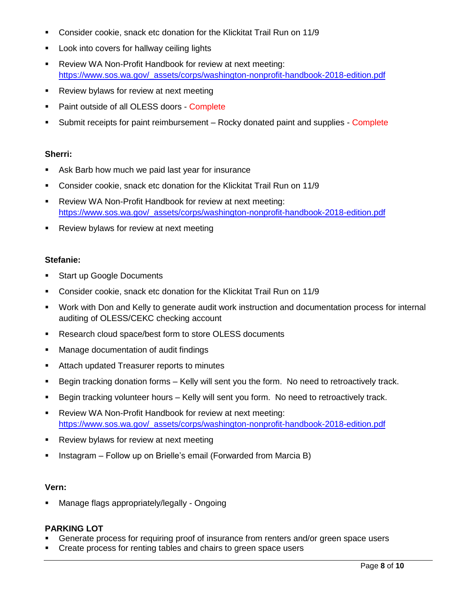- Consider cookie, snack etc donation for the Klickitat Trail Run on 11/9
- **Look into covers for hallway ceiling lights**
- Review WA Non-Profit Handbook for review at next meeting: [https://www.sos.wa.gov/\\_assets/corps/washington-nonprofit-handbook-2018-edition.pdf](https://www.sos.wa.gov/_assets/corps/washington-nonprofit-handbook-2018-edition.pdf)
- **Review bylaws for review at next meeting**
- Paint outside of all OLESS doors Complete
- Submit receipts for paint reimbursement Rocky donated paint and supplies Complete

#### **Sherri:**

- **Ask Barb how much we paid last year for insurance**
- Consider cookie, snack etc donation for the Klickitat Trail Run on 11/9
- **-** Review WA Non-Profit Handbook for review at next meeting: [https://www.sos.wa.gov/\\_assets/corps/washington-nonprofit-handbook-2018-edition.pdf](https://www.sos.wa.gov/_assets/corps/washington-nonprofit-handbook-2018-edition.pdf)
- **Review bylaws for review at next meeting**

#### **Stefanie:**

- **Start up Google Documents**
- Consider cookie, snack etc donation for the Klickitat Trail Run on 11/9
- Work with Don and Kelly to generate audit work instruction and documentation process for internal auditing of OLESS/CEKC checking account
- **Research cloud space/best form to store OLESS documents**
- **Manage documentation of audit findings**
- **EXTER** Attach updated Treasurer reports to minutes
- Begin tracking donation forms Kelly will sent you the form. No need to retroactively track.
- Begin tracking volunteer hours Kelly will sent you form. No need to retroactively track.
- Review WA Non-Profit Handbook for review at next meeting: [https://www.sos.wa.gov/\\_assets/corps/washington-nonprofit-handbook-2018-edition.pdf](https://www.sos.wa.gov/_assets/corps/washington-nonprofit-handbook-2018-edition.pdf)
- **Review bylaws for review at next meeting**
- **Instagram Follow up on Brielle's email (Forwarded from Marcia B)**

#### **Vern:**

Manage flags appropriately/legally - Ongoing

## **PARKING LOT**

- Generate process for requiring proof of insurance from renters and/or green space users
- Create process for renting tables and chairs to green space users